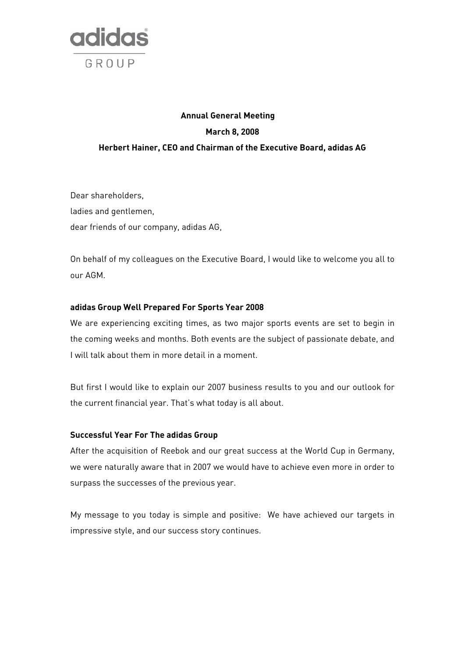

# **Annual General Meeting March 8, 2008 Herbert Hainer, CEO and Chairman of the Executive Board, adidas AG**

Dear shareholders, ladies and gentlemen, dear friends of our company, adidas AG,

On behalf of my colleagues on the Executive Board, I would like to welcome you all to our AGM.

# **adidas Group Well Prepared For Sports Year 2008**

We are experiencing exciting times, as two major sports events are set to begin in the coming weeks and months. Both events are the subject of passionate debate, and I will talk about them in more detail in a moment.

But first I would like to explain our 2007 business results to you and our outlook for the current financial year. That's what today is all about.

## **Successful Year For The adidas Group**

After the acquisition of Reebok and our great success at the World Cup in Germany, we were naturally aware that in 2007 we would have to achieve even more in order to surpass the successes of the previous year.

My message to you today is simple and positive: We have achieved our targets in impressive style, and our success story continues.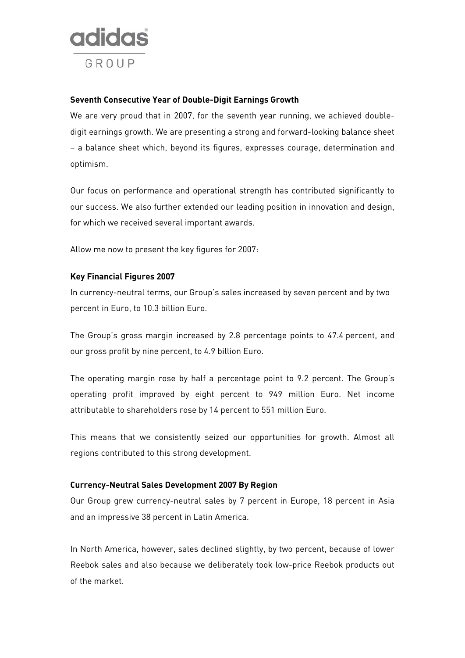

## **Seventh Consecutive Year of Double-Digit Earnings Growth**

We are very proud that in 2007, for the seventh year running, we achieved doubledigit earnings growth. We are presenting a strong and forward-looking balance sheet – a balance sheet which, beyond its figures, expresses courage, determination and optimism.

Our focus on performance and operational strength has contributed significantly to our success. We also further extended our leading position in innovation and design, for which we received several important awards.

Allow me now to present the key figures for 2007:

# **Key Financial Figures 2007**

In currency-neutral terms, our Group's sales increased by seven percent and by two percent in Euro, to 10.3 billion Euro.

The Group's gross margin increased by 2.8 percentage points to 47.4 percent, and our gross profit by nine percent, to 4.9 billion Euro.

The operating margin rose by half a percentage point to 9.2 percent. The Group's operating profit improved by eight percent to 949 million Euro. Net income attributable to shareholders rose by 14 percent to 551 million Euro.

This means that we consistently seized our opportunities for growth. Almost all regions contributed to this strong development.

## **Currency-Neutral Sales Development 2007 By Region**

Our Group grew currency-neutral sales by 7 percent in Europe, 18 percent in Asia and an impressive 38 percent in Latin America.

In North America, however, sales declined slightly, by two percent, because of lower Reebok sales and also because we deliberately took low-price Reebok products out of the market.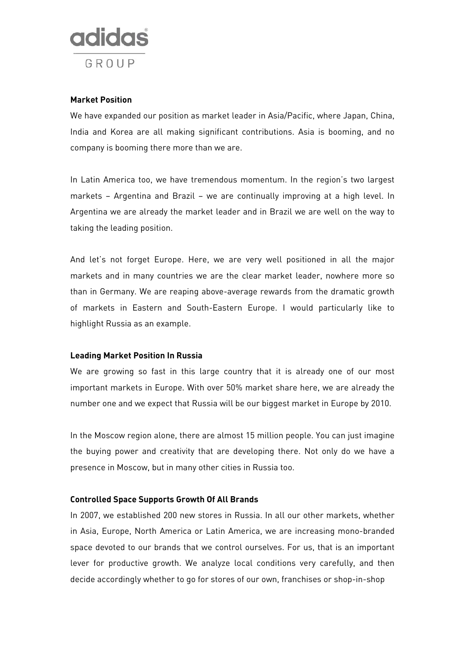

## **Market Position**

We have expanded our position as market leader in Asia/Pacific, where Japan, China, India and Korea are all making significant contributions. Asia is booming, and no company is booming there more than we are.

In Latin America too, we have tremendous momentum. In the region's two largest markets – Argentina and Brazil – we are continually improving at a high level. In Argentina we are already the market leader and in Brazil we are well on the way to taking the leading position.

And let's not forget Europe. Here, we are very well positioned in all the major markets and in many countries we are the clear market leader, nowhere more so than in Germany. We are reaping above-average rewards from the dramatic growth of markets in Eastern and South-Eastern Europe. I would particularly like to highlight Russia as an example.

## **Leading Market Position In Russia**

We are growing so fast in this large country that it is already one of our most important markets in Europe. With over 50% market share here, we are already the number one and we expect that Russia will be our biggest market in Europe by 2010.

In the Moscow region alone, there are almost 15 million people. You can just imagine the buying power and creativity that are developing there. Not only do we have a presence in Moscow, but in many other cities in Russia too.

## **Controlled Space Supports Growth Of All Brands**

In 2007, we established 200 new stores in Russia. In all our other markets, whether in Asia, Europe, North America or Latin America, we are increasing mono-branded space devoted to our brands that we control ourselves. For us, that is an important lever for productive growth. We analyze local conditions very carefully, and then decide accordingly whether to go for stores of our own, franchises or shop-in-shop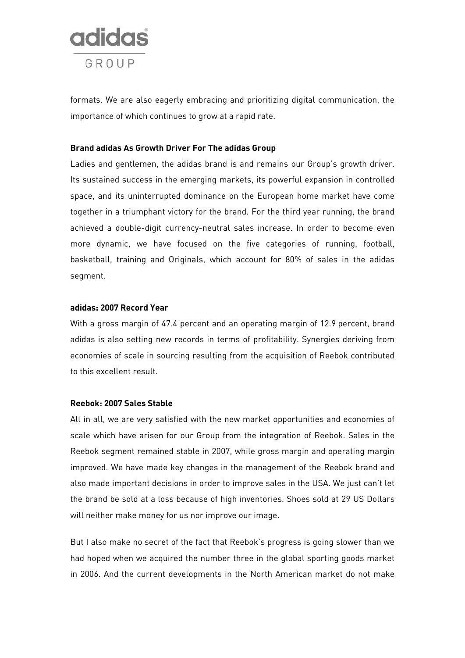

formats. We are also eagerly embracing and prioritizing digital communication, the importance of which continues to grow at a rapid rate.

#### **Brand adidas As Growth Driver For The adidas Group**

Ladies and gentlemen, the adidas brand is and remains our Group's growth driver. Its sustained success in the emerging markets, its powerful expansion in controlled space, and its uninterrupted dominance on the European home market have come together in a triumphant victory for the brand. For the third year running, the brand achieved a double-digit currency-neutral sales increase. In order to become even more dynamic, we have focused on the five categories of running, football, basketball, training and Originals, which account for 80% of sales in the adidas segment.

#### **adidas: 2007 Record Year**

With a gross margin of 47.4 percent and an operating margin of 12.9 percent, brand adidas is also setting new records in terms of profitability. Synergies deriving from economies of scale in sourcing resulting from the acquisition of Reebok contributed to this excellent result.

## **Reebok: 2007 Sales Stable**

All in all, we are very satisfied with the new market opportunities and economies of scale which have arisen for our Group from the integration of Reebok. Sales in the Reebok segment remained stable in 2007, while gross margin and operating margin improved. We have made key changes in the management of the Reebok brand and also made important decisions in order to improve sales in the USA. We just can't let the brand be sold at a loss because of high inventories. Shoes sold at 29 US Dollars will neither make money for us nor improve our image.

But I also make no secret of the fact that Reebok's progress is going slower than we had hoped when we acquired the number three in the global sporting goods market in 2006. And the current developments in the North American market do not make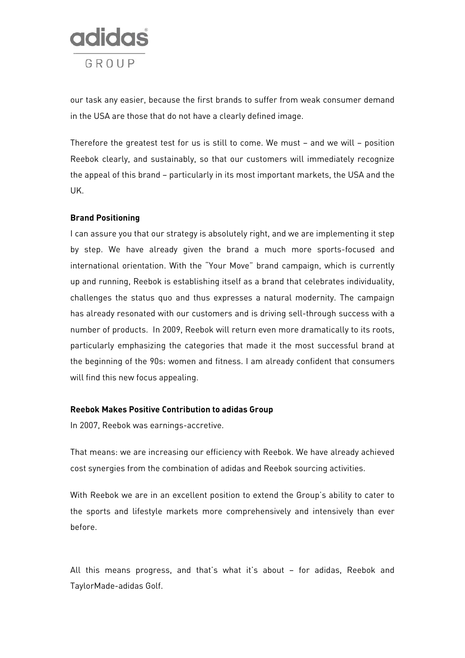

our task any easier, because the first brands to suffer from weak consumer demand in the USA are those that do not have a clearly defined image.

Therefore the greatest test for us is still to come. We must – and we will – position Reebok clearly, and sustainably, so that our customers will immediately recognize the appeal of this brand – particularly in its most important markets, the USA and the UK.

## **Brand Positioning**

I can assure you that our strategy is absolutely right, and we are implementing it step by step. We have already given the brand a much more sports-focused and international orientation. With the "Your Move" brand campaign, which is currently up and running, Reebok is establishing itself as a brand that celebrates individuality, challenges the status quo and thus expresses a natural modernity. The campaign has already resonated with our customers and is driving sell-through success with a number of products. In 2009, Reebok will return even more dramatically to its roots, particularly emphasizing the categories that made it the most successful brand at the beginning of the 90s: women and fitness. I am already confident that consumers will find this new focus appealing.

## **Reebok Makes Positive Contribution to adidas Group**

In 2007, Reebok was earnings-accretive.

That means: we are increasing our efficiency with Reebok. We have already achieved cost synergies from the combination of adidas and Reebok sourcing activities.

With Reebok we are in an excellent position to extend the Group's ability to cater to the sports and lifestyle markets more comprehensively and intensively than ever before.

All this means progress, and that's what it's about – for adidas, Reebok and TaylorMade-adidas Golf.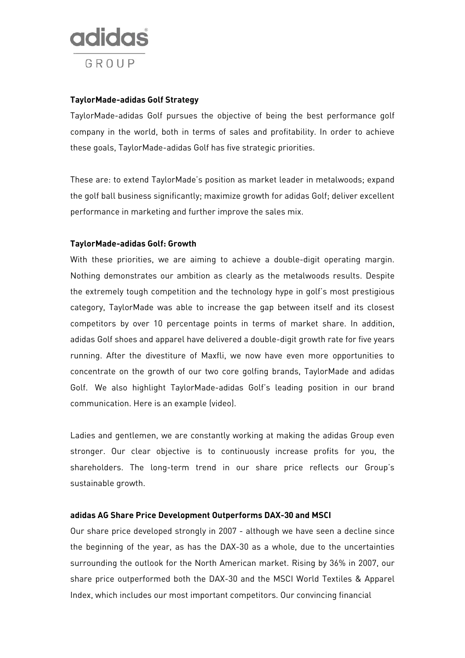

# **TaylorMade-adidas Golf Strategy**

TaylorMade-adidas Golf pursues the objective of being the best performance golf company in the world, both in terms of sales and profitability. In order to achieve these goals, TaylorMade-adidas Golf has five strategic priorities.

These are: to extend TaylorMade's position as market leader in metalwoods; expand the golf ball business significantly; maximize growth for adidas Golf; deliver excellent performance in marketing and further improve the sales mix.

#### **TaylorMade-adidas Golf: Growth**

With these priorities, we are aiming to achieve a double-digit operating margin. Nothing demonstrates our ambition as clearly as the metalwoods results. Despite the extremely tough competition and the technology hype in golf's most prestigious category, TaylorMade was able to increase the gap between itself and its closest competitors by over 10 percentage points in terms of market share. In addition, adidas Golf shoes and apparel have delivered a double-digit growth rate for five years running. After the divestiture of Maxfli, we now have even more opportunities to concentrate on the growth of our two core golfing brands, TaylorMade and adidas Golf. We also highlight TaylorMade-adidas Golf's leading position in our brand communication. Here is an example (video).

Ladies and gentlemen, we are constantly working at making the adidas Group even stronger. Our clear objective is to continuously increase profits for you, the shareholders. The long-term trend in our share price reflects our Group's sustainable growth.

#### **adidas AG Share Price Development Outperforms DAX-30 and MSCI**

Our share price developed strongly in 2007 - although we have seen a decline since the beginning of the year, as has the DAX-30 as a whole, due to the uncertainties surrounding the outlook for the North American market. Rising by 36% in 2007, our share price outperformed both the DAX-30 and the MSCI World Textiles & Apparel Index, which includes our most important competitors. Our convincing financial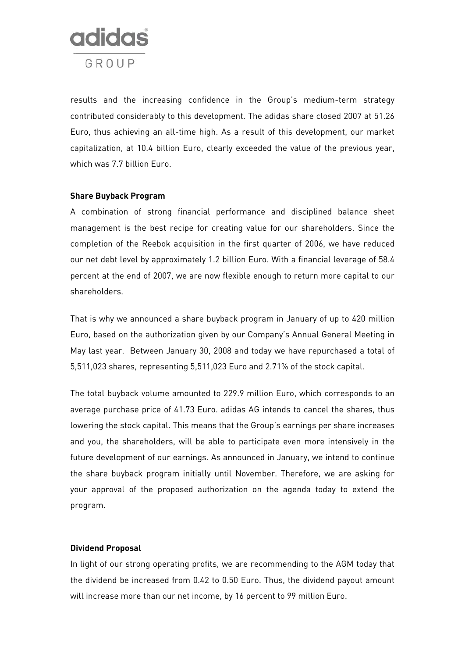

results and the increasing confidence in the Group's medium-term strategy contributed considerably to this development. The adidas share closed 2007 at 51.26 Euro, thus achieving an all-time high. As a result of this development, our market capitalization, at 10.4 billion Euro, clearly exceeded the value of the previous year, which was 7.7 billion Euro.

#### **Share Buyback Program**

A combination of strong financial performance and disciplined balance sheet management is the best recipe for creating value for our shareholders. Since the completion of the Reebok acquisition in the first quarter of 2006, we have reduced our net debt level by approximately 1.2 billion Euro. With a financial leverage of 58.4 percent at the end of 2007, we are now flexible enough to return more capital to our shareholders.

That is why we announced a share buyback program in January of up to 420 million Euro, based on the authorization given by our Company's Annual General Meeting in May last year. Between January 30, 2008 and today we have repurchased a total of 5,511,023 shares, representing 5,511,023 Euro and 2.71% of the stock capital.

The total buyback volume amounted to 229.9 million Euro, which corresponds to an average purchase price of 41.73 Euro. adidas AG intends to cancel the shares, thus lowering the stock capital. This means that the Group's earnings per share increases and you, the shareholders, will be able to participate even more intensively in the future development of our earnings. As announced in January, we intend to continue the share buyback program initially until November. Therefore, we are asking for your approval of the proposed authorization on the agenda today to extend the program.

## **Dividend Proposal**

In light of our strong operating profits, we are recommending to the AGM today that the dividend be increased from 0.42 to 0.50 Euro. Thus, the dividend payout amount will increase more than our net income, by 16 percent to 99 million Euro.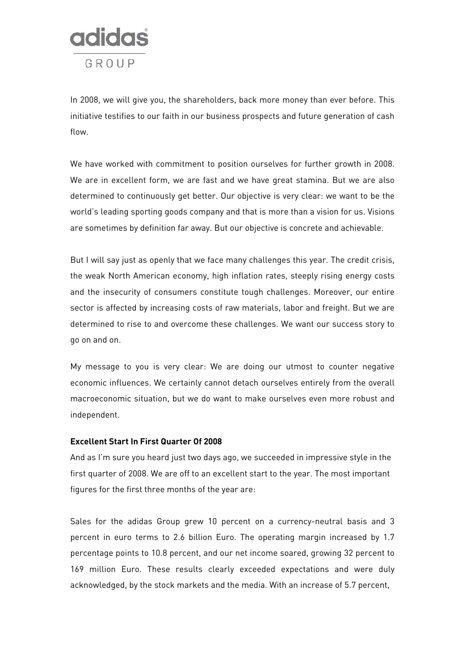

In 2008, we will give you, the shareholders, back more money than ever before. This initiative testifies to our faith in our business prospects and future generation of cash flow.

We have worked with commitment to position ourselves for further growth in 2008. We are in excellent form, we are fast and we have great stamina. But we are also determined to continuously get better. Our objective is very clear: we want to be the world's leading sporting goods company and that is more than a vision for us. Visions are sometimes by definition far away. But our objective is concrete and achievable.

But I will say just as openly that we face many challenges this year. The credit crisis, the weak North American economy, high inflation rates, steeply rising energy costs and the insecurity of consumers constitute tough challenges. Moreover, our entire sector is affected by increasing costs of raw materials, labor and freight. But we are determined to rise to and overcome these challenges. We want our success story to go on and on.

My message to you is very clear: We are doing our utmost to counter negative economic influences. We certainly cannot detach ourselves entirely from the overall macroeconomic situation, but we do want to make ourselves even more robust and independent.

#### **Excellent Start In First Quarter Of 2008**

And as I'm sure you heard just two days ago, we succeeded in impressive style in the first quarter of 2008. We are off to an excellent start to the year. The most important figures for the first three months of the year are:

Sales for the adidas Group grew 10 percent on a currency-neutral basis and 3 percent in euro terms to 2.6 billion Euro. The operating margin increased by 1.7 percentage points to 10.8 percent, and our net income soared, growing 32 percent to 169 million Euro. These results clearly exceeded expectations and were duly acknowledged, by the stock markets and the media. With an increase of 5.7 percent,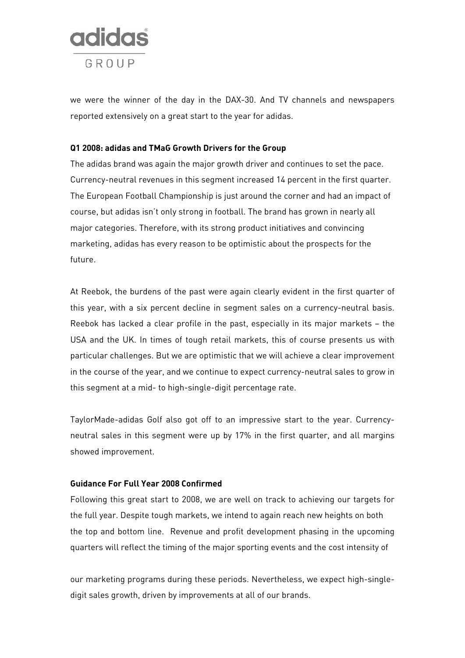

we were the winner of the day in the DAX-30. And TV channels and newspapers reported extensively on a great start to the year for adidas.

#### **Q1 2008: adidas and TMaG Growth Drivers for the Group**

The adidas brand was again the major growth driver and continues to set the pace. Currency-neutral revenues in this segment increased 14 percent in the first quarter. The European Football Championship is just around the corner and had an impact of course, but adidas isn't only strong in football. The brand has grown in nearly all major categories. Therefore, with its strong product initiatives and convincing marketing, adidas has every reason to be optimistic about the prospects for the future.

At Reebok, the burdens of the past were again clearly evident in the first quarter of this year, with a six percent decline in segment sales on a currency-neutral basis. Reebok has lacked a clear profile in the past, especially in its major markets – the USA and the UK. In times of tough retail markets, this of course presents us with particular challenges. But we are optimistic that we will achieve a clear improvement in the course of the year, and we continue to expect currency-neutral sales to grow in this segment at a mid- to high-single-digit percentage rate.

TaylorMade-adidas Golf also got off to an impressive start to the year. Currencyneutral sales in this segment were up by 17% in the first quarter, and all margins showed improvement.

# **Guidance For Full Year 2008 Confirmed**

Following this great start to 2008, we are well on track to achieving our targets for the full year. Despite tough markets, we intend to again reach new heights on both the top and bottom line. Revenue and profit development phasing in the upcoming quarters will reflect the timing of the major sporting events and the cost intensity of

our marketing programs during these periods. Nevertheless, we expect high-singledigit sales growth, driven by improvements at all of our brands.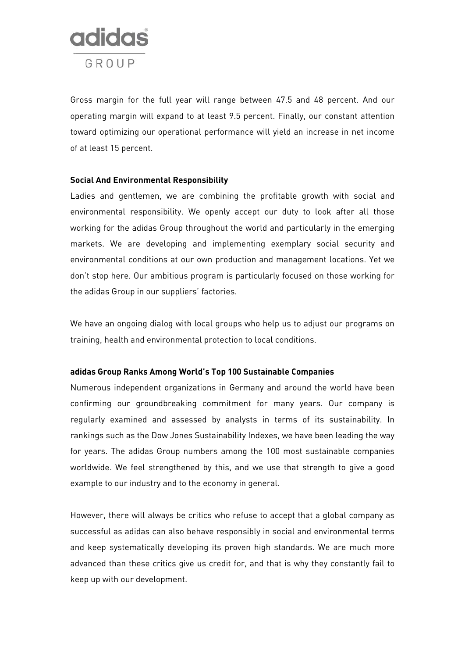

Gross margin for the full year will range between 47.5 and 48 percent. And our operating margin will expand to at least 9.5 percent. Finally, our constant attention toward optimizing our operational performance will yield an increase in net income of at least 15 percent.

## **Social And Environmental Responsibility**

Ladies and gentlemen, we are combining the profitable growth with social and environmental responsibility. We openly accept our duty to look after all those working for the adidas Group throughout the world and particularly in the emerging markets. We are developing and implementing exemplary social security and environmental conditions at our own production and management locations. Yet we don't stop here. Our ambitious program is particularly focused on those working for the adidas Group in our suppliers' factories.

We have an ongoing dialog with local groups who help us to adjust our programs on training, health and environmental protection to local conditions.

## **adidas Group Ranks Among World's Top 100 Sustainable Companies**

Numerous independent organizations in Germany and around the world have been confirming our groundbreaking commitment for many years. Our company is regularly examined and assessed by analysts in terms of its sustainability. In rankings such as the Dow Jones Sustainability Indexes, we have been leading the way for years. The adidas Group numbers among the 100 most sustainable companies worldwide. We feel strengthened by this, and we use that strength to give a good example to our industry and to the economy in general.

However, there will always be critics who refuse to accept that a global company as successful as adidas can also behave responsibly in social and environmental terms and keep systematically developing its proven high standards. We are much more advanced than these critics give us credit for, and that is why they constantly fail to keep up with our development.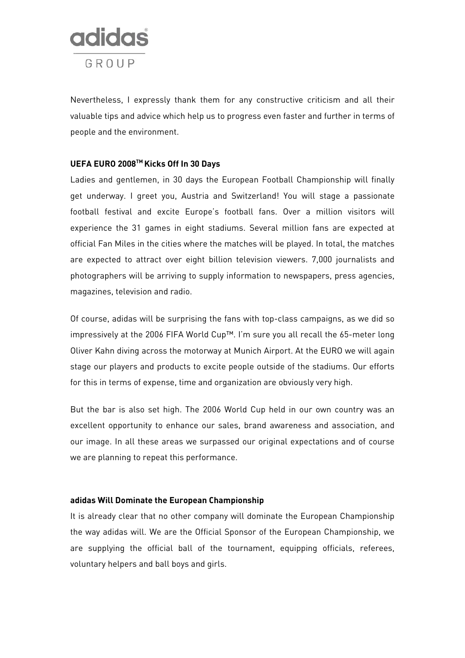

Nevertheless, I expressly thank them for any constructive criticism and all their valuable tips and advice which help us to progress even faster and further in terms of people and the environment.

## **UEFA EURO 2008TM Kicks Off In 30 Days**

Ladies and gentlemen, in 30 days the European Football Championship will finally get underway. I greet you, Austria and Switzerland! You will stage a passionate football festival and excite Europe's football fans. Over a million visitors will experience the 31 games in eight stadiums. Several million fans are expected at official Fan Miles in the cities where the matches will be played. In total, the matches are expected to attract over eight billion television viewers. 7,000 journalists and photographers will be arriving to supply information to newspapers, press agencies, magazines, television and radio.

Of course, adidas will be surprising the fans with top-class campaigns, as we did so impressively at the 2006 FIFA World Cup™. I'm sure you all recall the 65-meter long Oliver Kahn diving across the motorway at Munich Airport. At the EURO we will again stage our players and products to excite people outside of the stadiums. Our efforts for this in terms of expense, time and organization are obviously very high.

But the bar is also set high. The 2006 World Cup held in our own country was an excellent opportunity to enhance our sales, brand awareness and association, and our image. In all these areas we surpassed our original expectations and of course we are planning to repeat this performance.

#### **adidas Will Dominate the European Championship**

It is already clear that no other company will dominate the European Championship the way adidas will. We are the Official Sponsor of the European Championship, we are supplying the official ball of the tournament, equipping officials, referees, voluntary helpers and ball boys and girls.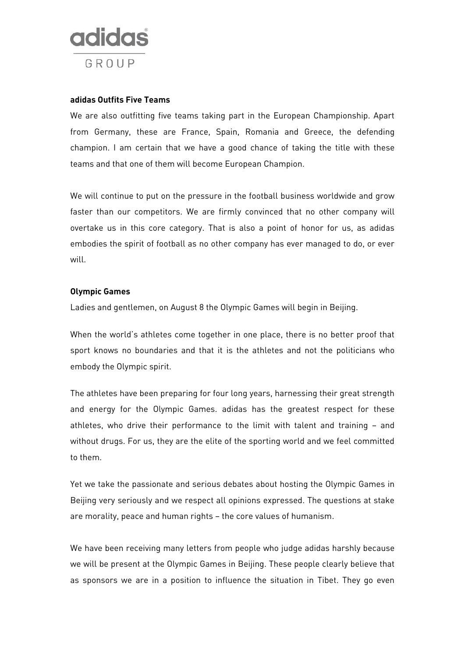

#### **adidas Outfits Five Teams**

We are also outfitting five teams taking part in the European Championship. Apart from Germany, these are France, Spain, Romania and Greece, the defending champion. I am certain that we have a good chance of taking the title with these teams and that one of them will become European Champion.

We will continue to put on the pressure in the football business worldwide and grow faster than our competitors. We are firmly convinced that no other company will overtake us in this core category. That is also a point of honor for us, as adidas embodies the spirit of football as no other company has ever managed to do, or ever will.

## **Olympic Games**

Ladies and gentlemen, on August 8 the Olympic Games will begin in Beijing.

When the world's athletes come together in one place, there is no better proof that sport knows no boundaries and that it is the athletes and not the politicians who embody the Olympic spirit.

The athletes have been preparing for four long years, harnessing their great strength and energy for the Olympic Games. adidas has the greatest respect for these athletes, who drive their performance to the limit with talent and training – and without drugs. For us, they are the elite of the sporting world and we feel committed to them.

Yet we take the passionate and serious debates about hosting the Olympic Games in Beijing very seriously and we respect all opinions expressed. The questions at stake are morality, peace and human rights – the core values of humanism.

We have been receiving many letters from people who judge adidas harshly because we will be present at the Olympic Games in Beijing. These people clearly believe that as sponsors we are in a position to influence the situation in Tibet. They go even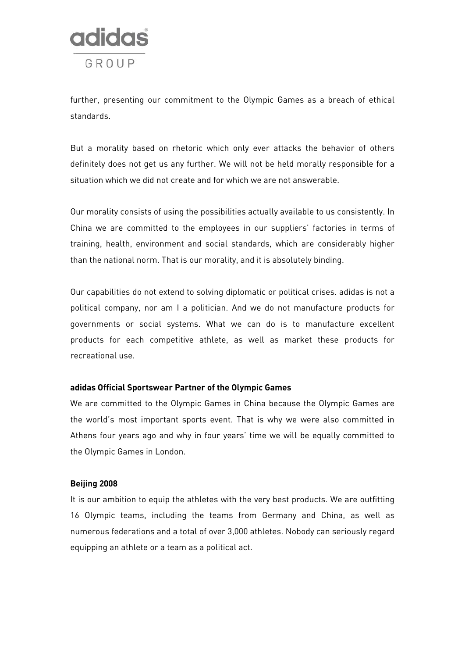

further, presenting our commitment to the Olympic Games as a breach of ethical standards.

But a morality based on rhetoric which only ever attacks the behavior of others definitely does not get us any further. We will not be held morally responsible for a situation which we did not create and for which we are not answerable.

Our morality consists of using the possibilities actually available to us consistently. In China we are committed to the employees in our suppliers' factories in terms of training, health, environment and social standards, which are considerably higher than the national norm. That is our morality, and it is absolutely binding.

Our capabilities do not extend to solving diplomatic or political crises. adidas is not a political company, nor am I a politician. And we do not manufacture products for governments or social systems. What we can do is to manufacture excellent products for each competitive athlete, as well as market these products for recreational use.

#### **adidas Official Sportswear Partner of the Olympic Games**

We are committed to the Olympic Games in China because the Olympic Games are the world's most important sports event. That is why we were also committed in Athens four years ago and why in four years' time we will be equally committed to the Olympic Games in London.

## **Beijing 2008**

It is our ambition to equip the athletes with the very best products. We are outfitting 16 Olympic teams, including the teams from Germany and China, as well as numerous federations and a total of over 3,000 athletes. Nobody can seriously regard equipping an athlete or a team as a political act.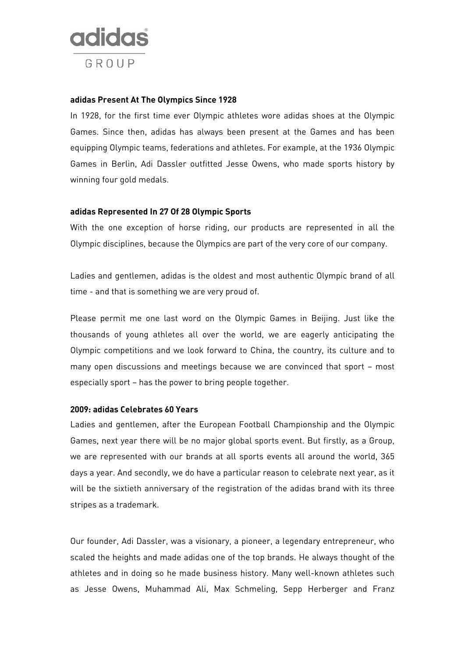

#### **adidas Present At The Olympics Since 1928**

In 1928, for the first time ever Olympic athletes wore adidas shoes at the Olympic Games. Since then, adidas has always been present at the Games and has been equipping Olympic teams, federations and athletes. For example, at the 1936 Olympic Games in Berlin, Adi Dassler outfitted Jesse Owens, who made sports history by winning four gold medals.

## **adidas Represented In 27 Of 28 Olympic Sports**

With the one exception of horse riding, our products are represented in all the Olympic disciplines, because the Olympics are part of the very core of our company.

Ladies and gentlemen, adidas is the oldest and most authentic Olympic brand of all time - and that is something we are very proud of.

Please permit me one last word on the Olympic Games in Beijing. Just like the thousands of young athletes all over the world, we are eagerly anticipating the Olympic competitions and we look forward to China, the country, its culture and to many open discussions and meetings because we are convinced that sport – most especially sport – has the power to bring people together.

## **2009: adidas Celebrates 60 Years**

Ladies and gentlemen, after the European Football Championship and the Olympic Games, next year there will be no major global sports event. But firstly, as a Group, we are represented with our brands at all sports events all around the world, 365 days a year. And secondly, we do have a particular reason to celebrate next year, as it will be the sixtieth anniversary of the registration of the adidas brand with its three stripes as a trademark.

Our founder, Adi Dassler, was a visionary, a pioneer, a legendary entrepreneur, who scaled the heights and made adidas one of the top brands. He always thought of the athletes and in doing so he made business history. Many well-known athletes such as Jesse Owens, Muhammad Ali, Max Schmeling, Sepp Herberger and Franz